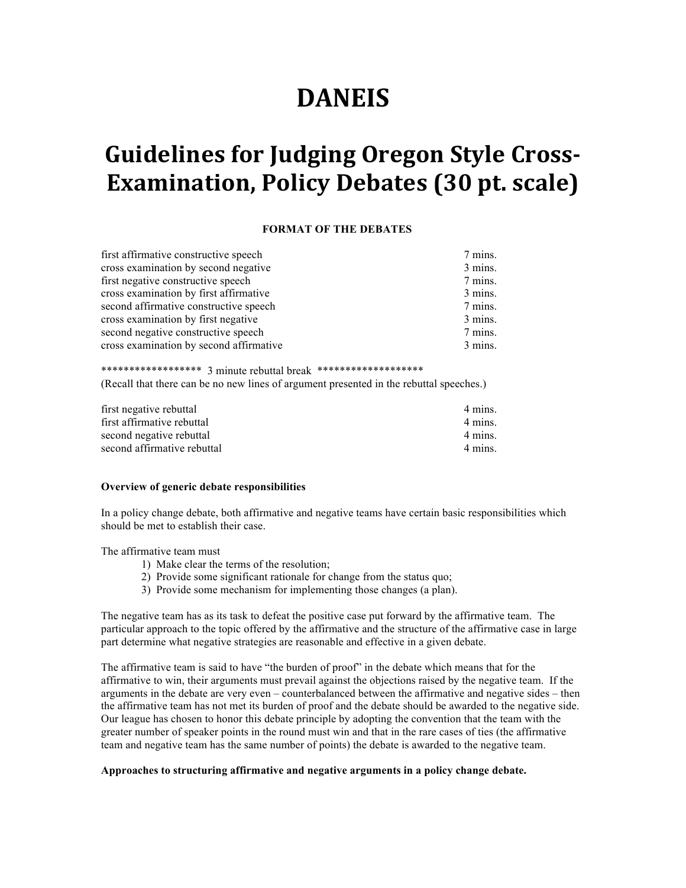# **DANEIS**

# **Guidelines for Judging Oregon Style Cross-Examination, Policy Debates (30 pt. scale)**

## **FORMAT OF THE DEBATES**

| first affirmative constructive speech   | 7 mins. |
|-----------------------------------------|---------|
| cross examination by second negative    | 3 mins. |
| first negative constructive speech      | 7 mins. |
| cross examination by first affirmative  | 3 mins. |
| second affirmative constructive speech  | 7 mins. |
| cross examination by first negative     | 3 mins. |
| second negative constructive speech     | 7 mins. |
| cross examination by second affirmative | 3 mins. |

\*\*\*\*\*\*\*\*\*\*\*\*\*\*\*\*\*\* 3 minute rebuttal break \*\*\*\*\*\*\*\*\*\*\*\*\*\*\*\*\*\*\* (Recall that there can be no new lines of argument presented in the rebuttal speeches.)

| first negative rebuttal     | 4 mins. |
|-----------------------------|---------|
| first affirmative rebuttal  | 4 mins. |
| second negative rebuttal    | 4 mins. |
| second affirmative rebuttal | 4 mins. |

#### **Overview of generic debate responsibilities**

In a policy change debate, both affirmative and negative teams have certain basic responsibilities which should be met to establish their case.

The affirmative team must

- 1) Make clear the terms of the resolution;
- 2) Provide some significant rationale for change from the status quo;
- 3) Provide some mechanism for implementing those changes (a plan).

The negative team has as its task to defeat the positive case put forward by the affirmative team. The particular approach to the topic offered by the affirmative and the structure of the affirmative case in large part determine what negative strategies are reasonable and effective in a given debate.

The affirmative team is said to have "the burden of proof" in the debate which means that for the affirmative to win, their arguments must prevail against the objections raised by the negative team. If the arguments in the debate are very even – counterbalanced between the affirmative and negative sides – then the affirmative team has not met its burden of proof and the debate should be awarded to the negative side. Our league has chosen to honor this debate principle by adopting the convention that the team with the greater number of speaker points in the round must win and that in the rare cases of ties (the affirmative team and negative team has the same number of points) the debate is awarded to the negative team.

### **Approaches to structuring affirmative and negative arguments in a policy change debate.**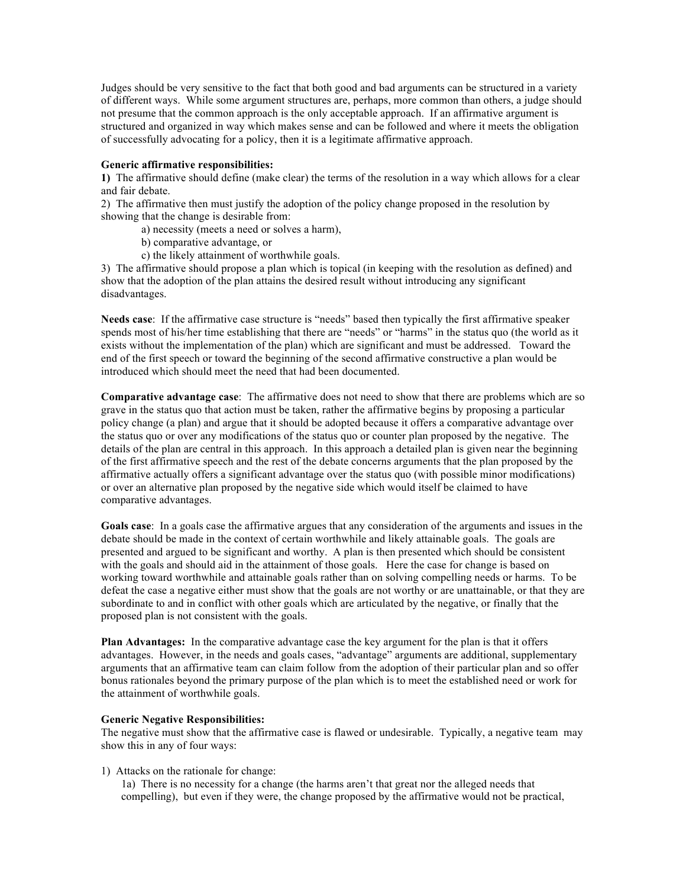Judges should be very sensitive to the fact that both good and bad arguments can be structured in a variety of different ways. While some argument structures are, perhaps, more common than others, a judge should not presume that the common approach is the only acceptable approach. If an affirmative argument is structured and organized in way which makes sense and can be followed and where it meets the obligation of successfully advocating for a policy, then it is a legitimate affirmative approach.

#### **Generic affirmative responsibilities:**

**1)** The affirmative should define (make clear) the terms of the resolution in a way which allows for a clear and fair debate.

2) The affirmative then must justify the adoption of the policy change proposed in the resolution by showing that the change is desirable from:

- a) necessity (meets a need or solves a harm),
- b) comparative advantage, or
- c) the likely attainment of worthwhile goals.

3) The affirmative should propose a plan which is topical (in keeping with the resolution as defined) and show that the adoption of the plan attains the desired result without introducing any significant disadvantages.

**Needs case**: If the affirmative case structure is "needs" based then typically the first affirmative speaker spends most of his/her time establishing that there are "needs" or "harms" in the status quo (the world as it exists without the implementation of the plan) which are significant and must be addressed. Toward the end of the first speech or toward the beginning of the second affirmative constructive a plan would be introduced which should meet the need that had been documented.

**Comparative advantage case**: The affirmative does not need to show that there are problems which are so grave in the status quo that action must be taken, rather the affirmative begins by proposing a particular policy change (a plan) and argue that it should be adopted because it offers a comparative advantage over the status quo or over any modifications of the status quo or counter plan proposed by the negative. The details of the plan are central in this approach. In this approach a detailed plan is given near the beginning of the first affirmative speech and the rest of the debate concerns arguments that the plan proposed by the affirmative actually offers a significant advantage over the status quo (with possible minor modifications) or over an alternative plan proposed by the negative side which would itself be claimed to have comparative advantages.

**Goals case**: In a goals case the affirmative argues that any consideration of the arguments and issues in the debate should be made in the context of certain worthwhile and likely attainable goals. The goals are presented and argued to be significant and worthy. A plan is then presented which should be consistent with the goals and should aid in the attainment of those goals. Here the case for change is based on working toward worthwhile and attainable goals rather than on solving compelling needs or harms. To be defeat the case a negative either must show that the goals are not worthy or are unattainable, or that they are subordinate to and in conflict with other goals which are articulated by the negative, or finally that the proposed plan is not consistent with the goals.

**Plan Advantages:** In the comparative advantage case the key argument for the plan is that it offers advantages. However, in the needs and goals cases, "advantage" arguments are additional, supplementary arguments that an affirmative team can claim follow from the adoption of their particular plan and so offer bonus rationales beyond the primary purpose of the plan which is to meet the established need or work for the attainment of worthwhile goals.

#### **Generic Negative Responsibilities:**

The negative must show that the affirmative case is flawed or undesirable. Typically, a negative team may show this in any of four ways:

### 1) Attacks on the rationale for change:

1a) There is no necessity for a change (the harms aren't that great nor the alleged needs that compelling), but even if they were, the change proposed by the affirmative would not be practical,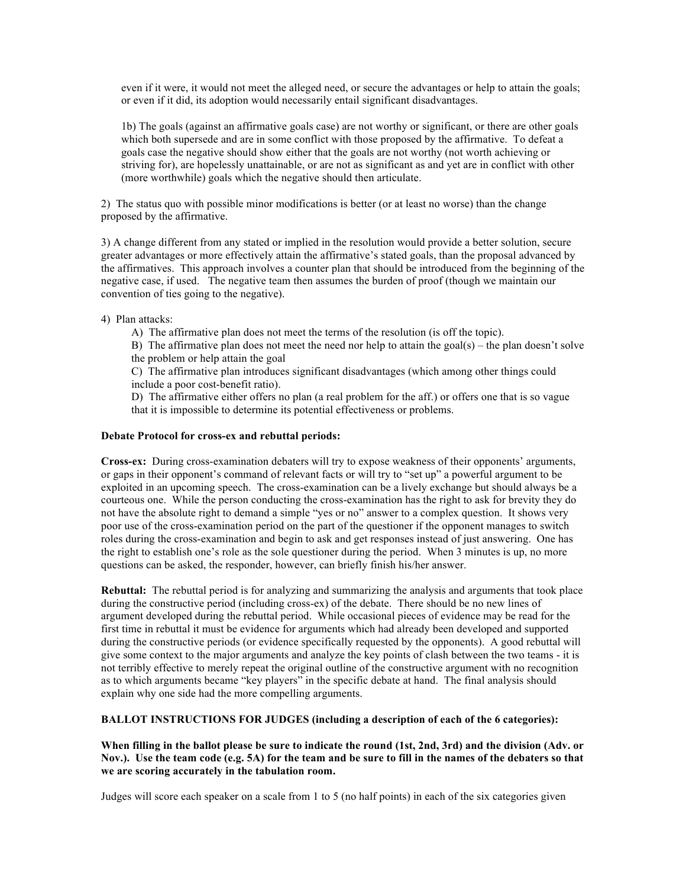even if it were, it would not meet the alleged need, or secure the advantages or help to attain the goals; or even if it did, its adoption would necessarily entail significant disadvantages.

1b) The goals (against an affirmative goals case) are not worthy or significant, or there are other goals which both supersede and are in some conflict with those proposed by the affirmative. To defeat a goals case the negative should show either that the goals are not worthy (not worth achieving or striving for), are hopelessly unattainable, or are not as significant as and yet are in conflict with other (more worthwhile) goals which the negative should then articulate.

2) The status quo with possible minor modifications is better (or at least no worse) than the change proposed by the affirmative.

3) A change different from any stated or implied in the resolution would provide a better solution, secure greater advantages or more effectively attain the affirmative's stated goals, than the proposal advanced by the affirmatives. This approach involves a counter plan that should be introduced from the beginning of the negative case, if used. The negative team then assumes the burden of proof (though we maintain our convention of ties going to the negative).

4) Plan attacks:

A) The affirmative plan does not meet the terms of the resolution (is off the topic).

B) The affirmative plan does not meet the need nor help to attain the goal(s) – the plan doesn't solve the problem or help attain the goal

C) The affirmative plan introduces significant disadvantages (which among other things could include a poor cost-benefit ratio).

D) The affirmative either offers no plan (a real problem for the aff.) or offers one that is so vague that it is impossible to determine its potential effectiveness or problems.

#### **Debate Protocol for cross-ex and rebuttal periods:**

**Cross-ex:** During cross-examination debaters will try to expose weakness of their opponents' arguments, or gaps in their opponent's command of relevant facts or will try to "set up" a powerful argument to be exploited in an upcoming speech. The cross-examination can be a lively exchange but should always be a courteous one. While the person conducting the cross-examination has the right to ask for brevity they do not have the absolute right to demand a simple "yes or no" answer to a complex question. It shows very poor use of the cross-examination period on the part of the questioner if the opponent manages to switch roles during the cross-examination and begin to ask and get responses instead of just answering. One has the right to establish one's role as the sole questioner during the period. When 3 minutes is up, no more questions can be asked, the responder, however, can briefly finish his/her answer.

**Rebuttal:** The rebuttal period is for analyzing and summarizing the analysis and arguments that took place during the constructive period (including cross-ex) of the debate. There should be no new lines of argument developed during the rebuttal period. While occasional pieces of evidence may be read for the first time in rebuttal it must be evidence for arguments which had already been developed and supported during the constructive periods (or evidence specifically requested by the opponents). A good rebuttal will give some context to the major arguments and analyze the key points of clash between the two teams - it is not terribly effective to merely repeat the original outline of the constructive argument with no recognition as to which arguments became "key players" in the specific debate at hand. The final analysis should explain why one side had the more compelling arguments.

**BALLOT INSTRUCTIONS FOR JUDGES (including a description of each of the 6 categories):**

**When filling in the ballot please be sure to indicate the round (1st, 2nd, 3rd) and the division (Adv. or Nov.). Use the team code (e.g. 5A) for the team and be sure to fill in the names of the debaters so that we are scoring accurately in the tabulation room.**

Judges will score each speaker on a scale from 1 to 5 (no half points) in each of the six categories given